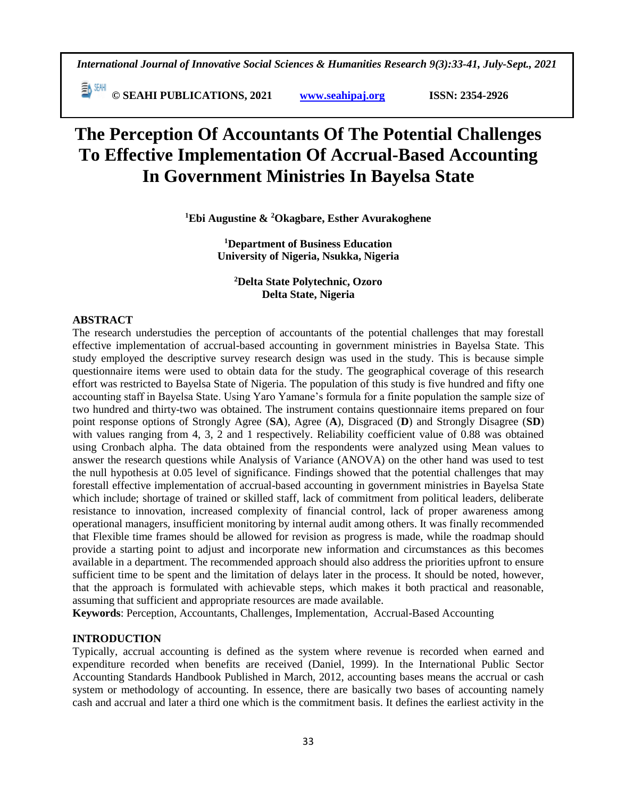**© SEAHI PUBLICATIONS, 2021 [www.seahipaj.org](http://www.seahipaj.org/) ISSN: 2354-2926** 

# **The Perception Of Accountants Of The Potential Challenges To Effective Implementation Of Accrual-Based Accounting In Government Ministries In Bayelsa State**

**<sup>1</sup>Ebi Augustine & <sup>2</sup>Okagbare, Esther Avurakoghene**

**<sup>1</sup>Department of Business Education University of Nigeria, Nsukka, Nigeria**

**<sup>2</sup>Delta State Polytechnic, Ozoro Delta State, Nigeria**

# **ABSTRACT**

The research understudies the perception of accountants of the potential challenges that may forestall effective implementation of accrual-based accounting in government ministries in Bayelsa State. This study employed the descriptive survey research design was used in the study. This is because simple questionnaire items were used to obtain data for the study. The geographical coverage of this research effort was restricted to Bayelsa State of Nigeria. The population of this study is five hundred and fifty one accounting staff in Bayelsa State. Using Yaro Yamane's formula for a finite population the sample size of two hundred and thirty-two was obtained. The instrument contains questionnaire items prepared on four point response options of Strongly Agree (**SA**), Agree (**A**), Disgraced (**D**) and Strongly Disagree (**SD**) with values ranging from 4, 3, 2 and 1 respectively. Reliability coefficient value of 0.88 was obtained using Cronbach alpha. The data obtained from the respondents were analyzed using Mean values to answer the research questions while Analysis of Variance (ANOVA) on the other hand was used to test the null hypothesis at 0.05 level of significance. Findings showed that the potential challenges that may forestall effective implementation of accrual-based accounting in government ministries in Bayelsa State which include; shortage of trained or skilled staff, lack of commitment from political leaders, deliberate resistance to innovation, increased complexity of financial control, lack of proper awareness among operational managers, insufficient monitoring by internal audit among others. It was finally recommended that Flexible time frames should be allowed for revision as progress is made, while the roadmap should provide a starting point to adjust and incorporate new information and circumstances as this becomes available in a department. The recommended approach should also address the priorities upfront to ensure sufficient time to be spent and the limitation of delays later in the process. It should be noted, however, that the approach is formulated with achievable steps, which makes it both practical and reasonable, assuming that sufficient and appropriate resources are made available.

**Keywords**: Perception, Accountants, Challenges, Implementation, Accrual-Based Accounting

#### **INTRODUCTION**

Typically, accrual accounting is defined as the system where revenue is recorded when earned and expenditure recorded when benefits are received (Daniel, 1999). In the International Public Sector Accounting Standards Handbook Published in March, 2012, accounting bases means the accrual or cash system or methodology of accounting. In essence, there are basically two bases of accounting namely cash and accrual and later a third one which is the commitment basis. It defines the earliest activity in the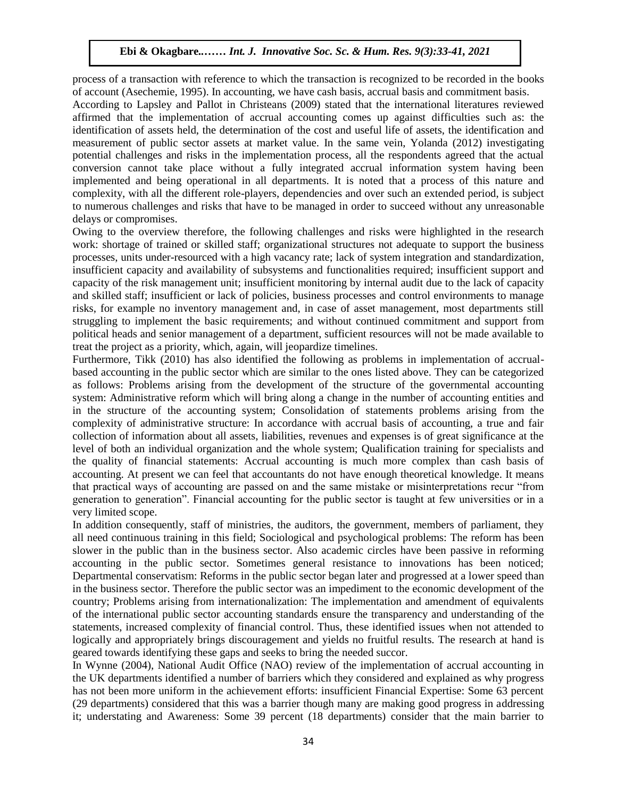process of a transaction with reference to which the transaction is recognized to be recorded in the books of account (Asechemie, 1995). In accounting, we have cash basis, accrual basis and commitment basis.

According to Lapsley and Pallot in Christeans (2009) stated that the international literatures reviewed affirmed that the implementation of accrual accounting comes up against difficulties such as: the identification of assets held, the determination of the cost and useful life of assets, the identification and measurement of public sector assets at market value. In the same vein, Yolanda (2012) investigating potential challenges and risks in the implementation process, all the respondents agreed that the actual conversion cannot take place without a fully integrated accrual information system having been implemented and being operational in all departments. It is noted that a process of this nature and Implemented and being operational in an departments. It is noted that a process of this haddle and complexity, with all the different role-players, dependencies and over such an extended period, is subject to numerous challenges and risks that have to be managed in order to succeed without any unreasonable delays or compromises.

Owing to the overview therefore, the following challenges and risks were highlighted in the research work: shortage of trained or skilled staff; organizational structures not adequate to support the business processes, units under-resourced with a high vacancy rate; lack of system integration and standardization, insufficient capacity and availability of subsystems and functionalities required; insufficient support and results of the risk management unit; insufficient monitoring by internal audit due to the lack of capacity capacity and skilled staff; insufficient or lack of policies, business processes and control environments to manage risks, for example no inventory management and, in case of asset management, most departments still struggling to implement the basic requirements; and without continued commitment and support from political heads and senior management of a department, sufficient resources will not be made available to treat the project as a priority, which, again, will jeopardize timelines.

Furthermore, Tikk (2010) has also identified the following as problems in implementation of accrualbased accounting in the public sector which are similar to the ones listed above. They can be categorized as follows: Problems arising from the development of the structure of the governmental accounting system: Administrative reform which will bring along a change in the number of accounting entities and in the structure of the accounting system; Consolidation of statements problems arising from the complexity of administrative structure: In accordance with accrual basis of accounting, a true and fair collection of information about all assets, liabilities, revenues and expenses is of great significance at the level of both an individual organization and the whole system; Qualification training for specialists and the quality of financial statements: Accrual accounting is much more complex than cash basis of accounting. At present we can feel that accountants do not have enough theoretical knowledge. It means that practical ways of accounting are passed on and the same mistake or misinterpretations recur "from generation to generation". Financial accounting for the public sector is taught at few universities or in a very limited scope.

In addition consequently, staff of ministries, the auditors, the government, members of parliament, they all need continuous training in this field; Sociological and psychological problems: The reform has been slower in the public than in the business sector. Also academic circles have been passive in reforming accounting in the public sector. Sometimes general resistance to innovations has been noticed; Departmental conservatism: Reforms in the public sector began later and progressed at a lower speed than in the business sector. Therefore the public sector was an impediment to the economic development of the country; Problems arising from internationalization: The implementation and amendment of equivalents of the international public sector accounting standards ensure the transparency and understanding of the statements, increased complexity of financial control. Thus, these identified issues when not attended to logically and appropriately brings discouragement and yields no fruitful results. The research at hand is geared towards identifying these gaps and seeks to bring the needed succor.

In Wynne (2004), National Audit Office (NAO) review of the implementation of accrual accounting in the UK departments identified a number of barriers which they considered and explained as why progress has not been more uniform in the achievement efforts: insufficient Financial Expertise: Some 63 percent (29 departments) considered that this was a barrier though many are making good progress in addressing it; understating and Awareness: Some 39 percent (18 departments) consider that the main barrier to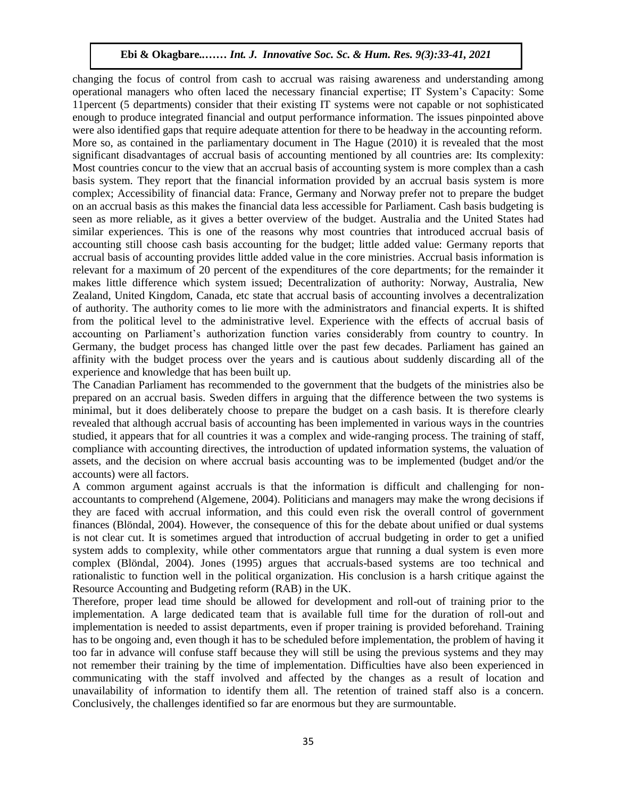changing the focus of control from cash to accrual was raising awareness and understanding among operational managers who often laced the necessary financial expertise; IT System's Capacity: Some 11percent (5 departments) consider that their existing IT systems were not capable or not sophisticated 11percent enough to produce integrated financial and output performance information. The issues pinpointed above were also identified gaps that require adequate attention for there to be headway in the accounting reform. More so, as contained in the parliamentary document in The Hague (2010) it is revealed that the most significant disadvantages of accrual basis of accounting mentioned by all countries are: Its complexity: Most countries concur to the view that an accrual basis of accounting system is more complex than a cash basis system. They report that the financial information provided by an accrual basis system is more complex; Accessibility of financial data: France, Germany and Norway prefer not to prepare the budget on an accrual basis as this makes the financial data less accessible for Parliament. Cash basis budgeting is seen as more reliable, as it gives a better overview of the budget. Australia and the United States had similar experiences. This is one of the reasons why most countries that introduced accrual basis of accounting still choose cash basis accounting for the budget; little added value: Germany reports that accrual basis of accounting provides little added value in the core ministries. Accrual basis information is relevant for a maximum of 20 percent of the expenditures of the core departments; for the remainder it makes little difference which system issued; Decentralization of authority: Norway, Australia, New Zealand, United Kingdom, Canada, etc state that accrual basis of accounting involves a decentralization of authority. The authority comes to lie more with the administrators and financial experts. It is shifted from the political level to the administrative level. Experience with the effects of accrual basis of accounting on Parliament's authorization function varies considerably from country to country. In Germany, the budget process has changed little over the past few decades. Parliament has gained an affinity with the budget process over the years and is cautious about suddenly discarding all of the experience and knowledge that has been built up.

The Canadian Parliament has recommended to the government that the budgets of the ministries also be prepared on an accrual basis. Sweden differs in arguing that the difference between the two systems is minimal, but it does deliberately choose to prepare the budget on a cash basis. It is therefore clearly revealed that although accrual basis of accounting has been implemented in various ways in the countries studied, it appears that for all countries it was a complex and wide-ranging process. The training of staff, compliance with accounting directives, the introduction of updated information systems, the valuation of assets, and the decision on where accrual basis accounting was to be implemented (budget and/or the accounts) were all factors.

A common argument against accruals is that the information is difficult and challenging for nonaccountants to comprehend (Algemene, 2004). Politicians and managers may make the wrong decisions if they are faced with accrual information, and this could even risk the overall control of government finances (Blöndal, 2004). However, the consequence of this for the debate about unified or dual systems is not clear cut. It is sometimes argued that introduction of accrual budgeting in order to get a unified system adds to complexity, while other commentators argue that running a dual system is even more complex (Blöndal, 2004). Jones (1995) argues that accruals-based systems are too technical and rationalistic to function well in the political organization. His conclusion is a harsh critique against the Resource Accounting and Budgeting reform (RAB) in the UK.

Therefore, proper lead time should be allowed for development and roll-out of training prior to the implementation. A large dedicated team that is available full time for the duration of roll-out and implementation is needed to assist departments, even if proper training is provided beforehand. Training has to be ongoing and, even though it has to be scheduled before implementation, the problem of having it too far in advance will confuse staff because they will still be using the previous systems and they may not remember their training by the time of implementation. Difficulties have also been experienced in communicating with the staff involved and affected by the changes as a result of location and unavailability of information to identify them all. The retention of trained staff also is a concern. Conclusively, the challenges identified so far are enormous but they are surmountable.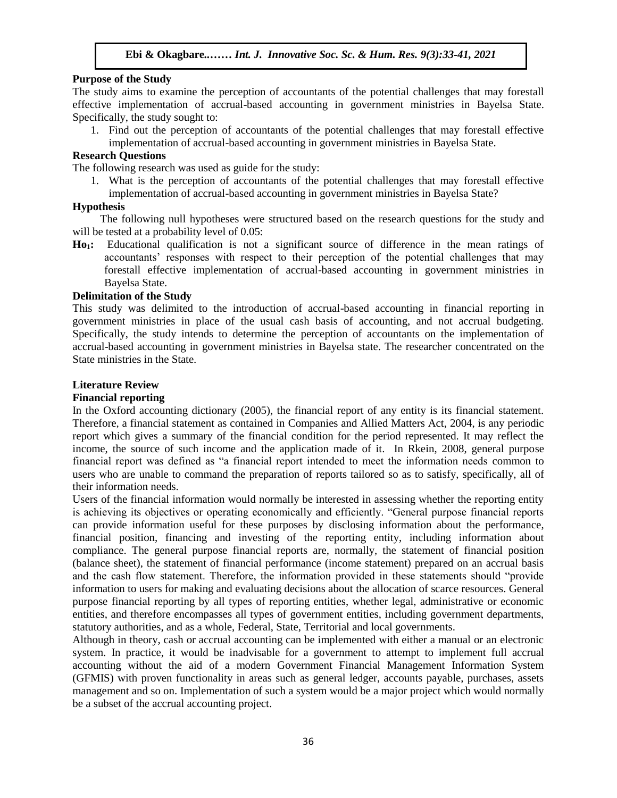# **Purpose of the Study**

The study aims to examine the perception of accountants of the potential challenges that may forestall effective implementation of accrual-based accounting in government ministries in Bayelsa State. Specifically, the study sought to:

1. Find out the perception of accountants of the potential challenges that may forestall effective implementation of accrual-based accounting in government ministries in Bayelsa State.

# **Research Questions**

The following research was used as guide for the study:

1. What is the perception of accountants of the potential challenges that may forestall effective implementation of accrual-based accounting in government ministries in Bayelsa State?

# **Hypothesis**

 The following null hypotheses were structured based on the research questions for the study and will be tested at a probability level of  $0.05$ :

**Ho1:** Educational qualification is not a significant source of difference in the mean ratings of accountants' responses with respect to their perception of the potential challenges that may forestall effective implementation of accrual-based accounting in government ministries in Bayelsa State. **Arugu American** State.

#### **Delimitation of the Study**

This study was delimited to the introduction of accrual-based accounting in financial reporting in government ministries in place of the usual cash basis of accounting, and not accrual budgeting. Specifically, the study intends to determine the perception of accountants on the implementation of accrual-based accounting in government ministries in Bayelsa state. The researcher concentrated on the State ministries in the State.

#### **Literature Review**

#### **Financial reporting**

In the Oxford accounting dictionary (2005), the financial report of any entity is its financial statement. Therefore, a financial statement as contained in Companies and Allied Matters Act, 2004, is any periodic report which gives a summary of the financial condition for the period represented. It may reflect the income, the source of such income and the application made of it. In Rkein, 2008, general purpose financial report was defined as "a financial report intended to meet the information needs common to users who are unable to command the preparation of reports tailored so as to satisfy, specifically, all of their information needs.

Users of the financial information would normally be interested in assessing whether the reporting entity is achieving its objectives or operating economically and efficiently. "General purpose financial reports can provide information useful for these purposes by disclosing information about the performance, financial position, financing and investing of the reporting entity, including information about compliance. The general purpose financial reports are, normally, the statement of financial position (balance sheet), the statement of financial performance (income statement) prepared on an accrual basis and the cash flow statement. Therefore, the information provided in these statements should "provide information to users for making and evaluating decisions about the allocation of scarce resources. General purpose financial reporting by all types of reporting entities, whether legal, administrative or economic entities, and therefore encompasses all types of government entities, including government departments, statutory authorities, and as a whole, Federal, State, Territorial and local governments.

Although in theory, cash or accrual accounting can be implemented with either a manual or an electronic system. In practice, it would be inadvisable for a government to attempt to implement full accrual accounting without the aid of a modern Government Financial Management Information System (GFMIS) with proven functionality in areas such as general ledger, accounts payable, purchases, assets management and so on. Implementation of such a system would be a major project which would normally be a subset of the accrual accounting project.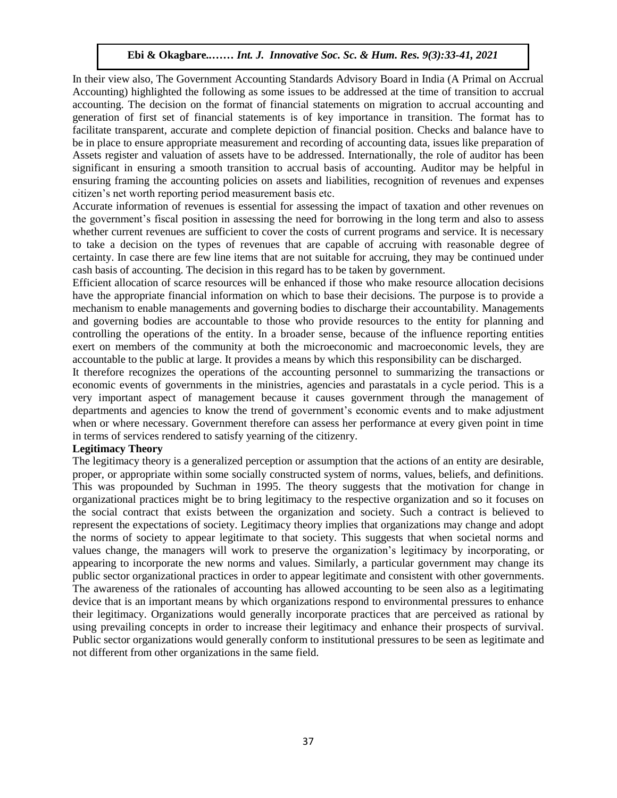In their view also, The Government Accounting Standards Advisory Board in India (A Primal on Accrual Accounting) highlighted the following as some issues to be addressed at the time of transition to accrual accounting. The decision on the format of financial statements on migration to accrual accounting and generation of first set of financial statements is of key importance in transition. The format has to facilitate transparent, accurate and complete depiction of financial position. Checks and balance have to be in place to ensure appropriate measurement and recording of accounting data, issues like preparation of Assets register and valuation of assets have to be addressed. Internationally, the role of auditor has been significant in ensuring a smooth transition to accrual basis of accounting. Auditor may be helpful in ensuring framing the accounting policies on assets and liabilities, recognition of revenues and expenses citizen's net worth reporting period measurement basis etc.

Accurate information of revenues is essential for assessing the impact of taxation and other revenues on the government's fiscal position in assessing the need for borrowing in the long term and also to assess whether current revenues are sufficient to cover the costs of current programs and service. It is necessary to take a decision on the types of revenues that are capable of accruing with reasonable degree of certainty. In case there are few line items that are not suitable for accruing, they may be continued under cash basis of accounting. The decision in this regard has to be taken by government.

Efficient allocation of scarce resources will be enhanced if those who make resource allocation decisions have the appropriate financial information on which to base their decisions. The purpose is to provide a mechanism to enable managements and governing bodies to discharge their accountability. Managements and governing bodies are accountable to those who provide resources to the entity for planning and and governing bodies are accountable to those who provide resources to the entity for planning and controlling the operations of the entity. In a broader sense, because of the influence reporting entities exert on members of the community at both the microeconomic and macroeconomic levels, they are accountable to the public at large. It provides a means by which this responsibility can be discharged.

It therefore recognizes the operations of the accounting personnel to summarizing the transactions or economic events of governments in the ministries, agencies and parastatals in a cycle period. This is a very important aspect of management because it causes government through the management of departments and agencies to know the trend of government's economic events and to make adjustment when or where necessary. Government therefore can assess her performance at every given point in time in terms of services rendered to satisfy yearning of the citizenry.

#### **Legitimacy Theory**

The legitimacy theory is a generalized perception or assumption that the actions of an entity are desirable, proper, or appropriate within some socially constructed system of norms, values, beliefs, and definitions. This was propounded by Suchman in 1995. The theory suggests that the motivation for change in organizational practices might be to bring legitimacy to the respective organization and so it focuses on the social contract that exists between the organization and society. Such a contract is believed to represent the expectations of society. Legitimacy theory implies that organizations may change and adopt the norms of society to appear legitimate to that society. This suggests that when societal norms and values change, the managers will work to preserve the organization's legitimacy by incorporating, or appearing to incorporate the new norms and values. Similarly, a particular government may change its public sector organizational practices in order to appear legitimate and consistent with other governments. The awareness of the rationales of accounting has allowed accounting to be seen also as a legitimating device that is an important means by which organizations respond to environmental pressures to enhance their legitimacy. Organizations would generally incorporate practices that are perceived as rational by using prevailing concepts in order to increase their legitimacy and enhance their prospects of survival. Public sector organizations would generally conform to institutional pressures to be seen as legitimate and not different from other organizations in the same field.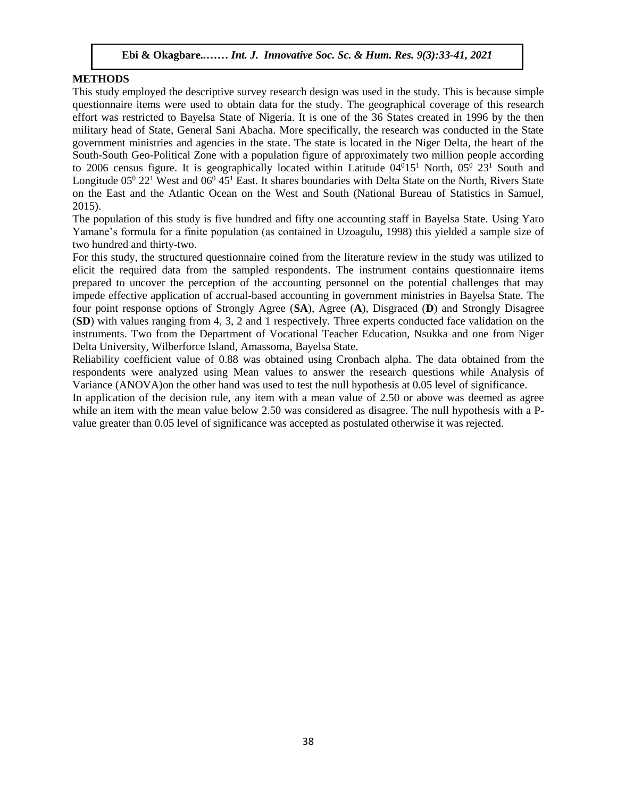#### **METHODS**

This study employed the descriptive survey research design was used in the study. This is because simple questionnaire items were used to obtain data for the study. The geographical coverage of this research effort was restricted to Bayelsa State of Nigeria. It is one of the 36 States created in 1996 by the then military head of State, General Sani Abacha. More specifically, the research was conducted in the State government ministries and agencies in the state. The state is located in the Niger Delta, the heart of the South-South Geo-Political Zone with a population figure of approximately two million people according to 2006 census figure. It is geographically located within Latitude  $04^015^1$  North,  $05^0$  23<sup>1</sup> South and Longitude 05<sup>0</sup> 22<sup>1</sup> West and 06<sup>0</sup> 45<sup>1</sup> East. It shares boundaries with Delta State on the North, Rivers State on the East and the Atlantic Ocean on the West and South (National Bureau of Statistics in Samuel, 2015).

The population of this study is five hundred and fifty one accounting staff in Bayelsa State. Using Yaro Yamane's formula for a finite population (as contained in Uzoagulu, 1998) this yielded a sample size of two hundred and thirty-two.

For this study, the structured questionnaire coined from the literature review in the study was utilized to elicit the required data from the sampled respondents. The instrument contains questionnaire items prepared to uncover the perception of the accounting personnel on the potential challenges that may impede effective application of accrual-based accounting in government ministries in Bayelsa State. The four point response options of Strongly Agree (**SA**), Agree (**A**), Disgraced (**D**) and Strongly Disagree (**SD**) with values ranging from 4, 3, 2 and 1 respectively. Three experts conducted face validation on the  $(3D)$  whilf values ranging from 4, 3, 2 and 1 respectively. Three experis conducted race vandation on the instruments. Two from the Department of Vocational Teacher Education, Nsukka and one from Niger Delta University, Wilberforce Island, Amassoma, Bayelsa State.

Reliability coefficient value of 0.88 was obtained using Cronbach alpha. The data obtained from the respondents were analyzed using Mean values to answer the research questions while Analysis of Variance (ANOVA)on the other hand was used to test the null hypothesis at 0.05 level of significance.

In application of the decision rule, any item with a mean value of 2.50 or above was deemed as agree while an item with the mean value below 2.50 was considered as disagree. The null hypothesis with a Pvalue greater than 0.05 level of significance was accepted as postulated otherwise it was rejected.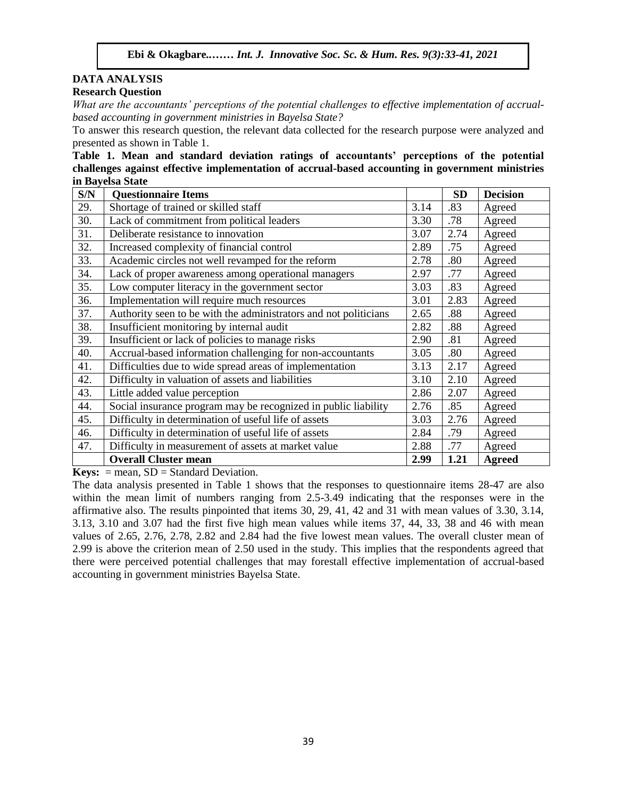#### **DATA ANALYSIS Research Question**

*Westarch Question*<br>What are the accountants' perceptions of the potential challenges to effective implementation of accrual*based accounting in government ministries in Bayelsa State?*

To answer this research question, the relevant data collected for the research purpose were analyzed and presented as shown in Table 1.

**Table 1. Mean and standard deviation ratings of accountants' perceptions of the potential challenges against effective implementation of accrual-based accounting in government ministries in Bayelsa State**

| S/N | <b>Questionnaire Items</b>                                       |      | <b>SD</b> | <b>Decision</b> |
|-----|------------------------------------------------------------------|------|-----------|-----------------|
| 29. | Shortage of trained or skilled staff                             | 3.14 | .83       | Agreed          |
| 30. | Lack of commitment from political leaders                        | 3.30 | .78       | Agreed          |
| 31. | Deliberate resistance to innovation                              | 3.07 | 2.74      | Agreed          |
| 32. | Increased complexity of financial control                        | 2.89 | .75       | Agreed          |
| 33. | Academic circles not well revamped for the reform                | 2.78 | .80       | Agreed          |
| 34. | Lack of proper awareness among operational managers              | 2.97 | .77       | Agreed          |
| 35. | Low computer literacy in the government sector                   | 3.03 | .83       | Agreed          |
| 36. | Implementation will require much resources                       | 3.01 | 2.83      | Agreed          |
| 37. | Authority seen to be with the administrators and not politicians | 2.65 | .88       | Agreed          |
| 38. | Insufficient monitoring by internal audit                        | 2.82 | .88       | Agreed          |
| 39. | Insufficient or lack of policies to manage risks                 | 2.90 | .81       | Agreed          |
| 40. | Accrual-based information challenging for non-accountants        | 3.05 | .80       | Agreed          |
| 41. | Difficulties due to wide spread areas of implementation          | 3.13 | 2.17      | Agreed          |
| 42. | Difficulty in valuation of assets and liabilities                | 3.10 | 2.10      | Agreed          |
| 43. | Little added value perception                                    | 2.86 | 2.07      | Agreed          |
| 44. | Social insurance program may be recognized in public liability   | 2.76 | .85       | Agreed          |
| 45. | Difficulty in determination of useful life of assets             | 3.03 | 2.76      | Agreed          |
| 46. | Difficulty in determination of useful life of assets             | 2.84 | .79       | Agreed          |
| 47. | Difficulty in measurement of assets at market value              | 2.88 | .77       | Agreed          |
|     | <b>Overall Cluster mean</b>                                      | 2.99 | 1.21      | <b>Agreed</b>   |

**Keys:**  $=$  mean,  $SD =$  Standard Deviation.

The data analysis presented in Table 1 shows that the responses to questionnaire items 28-47 are also within the mean limit of numbers ranging from 2.5-3.49 indicating that the responses were in the affirmative also. The results pinpointed that items 30, 29, 41, 42 and 31 with mean values of 3.30, 3.14, 3.13, 3.10 and 3.07 had the first five high mean values while items 37, 44, 33, 38 and 46 with mean values of 2.65, 2.76, 2.78, 2.82 and 2.84 had the five lowest mean values. The overall cluster mean of 2.99 is above the criterion mean of 2.50 used in the study. This implies that the respondents agreed that there were perceived potential challenges that may forestall effective implementation of accrual-based accounting in government ministries Bayelsa State.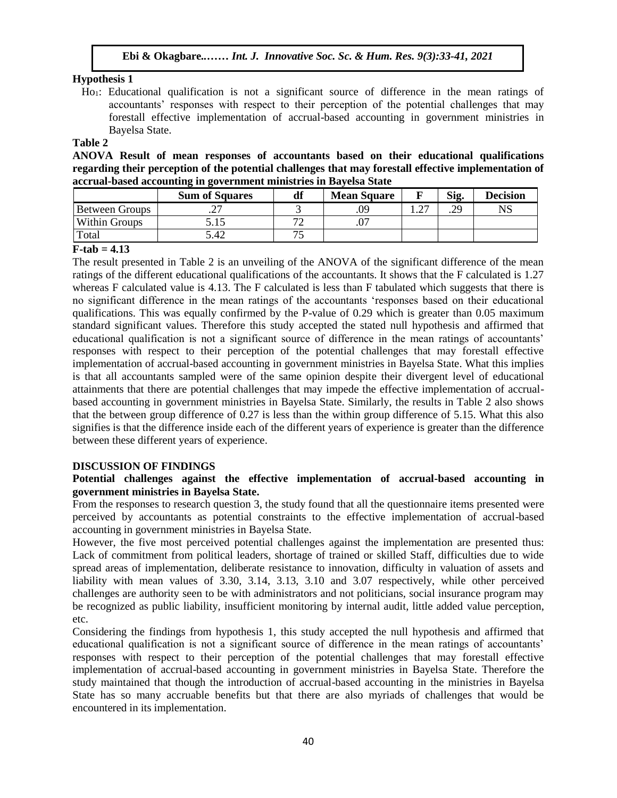# **Hypothesis 1**

Ho1: Educational qualification is not a significant source of difference in the mean ratings of  $\alpha$  accountants' responses with respect to their perception of the potential challenges that may forestall effective implementation of accrual-based accounting in government ministries in Bayelsa State.

#### **Table 2**

**ANOVA Result of mean responses of accountants based on their educational qualifications regarding their perception of the potential challenges that may forestall effective implementation of accrual-based accounting in government ministries in Bayelsa State**  $\frac{1}{2}$ 

|                | <b>Sum of Squares</b> | df | <b>Mean Square</b> |    | Sig. | <b>Decision</b> |
|----------------|-----------------------|----|--------------------|----|------|-----------------|
| Between Groups | ∙ ∠                   |    | .09                | דר | .29  | NS              |
| Within Groups  | 5.15                  | רת |                    |    |      |                 |
| Total          | 5.42                  | ヮ  |                    |    |      |                 |

# **F-tab = 4.13**

The result presented in Table 2 is an unveiling of the ANOVA of the significant difference of the mean ratings of the different educational qualifications of the accountants. It shows that the F calculated is 1.27 whereas F calculated value is 4.13. The F calculated is less than F tabulated which suggests that there is whereas F calculated value is 4.13. The F calculated is less than F tabulated which suggests that there is no significant difference in the mean ratings of the accountants 'responses based on their educational qualifications. This was equally confirmed by the P-value of 0.29 which is greater than 0.05 maximum standard significant values. Therefore this study accepted the stated null hypothesis and affirmed that educational qualification is not a significant source of difference in the mean ratings of accountants' responses with respect to their perception of the potential challenges that may forestall effective implementation of accrual-based accounting in government ministries in Bayelsa State. What this implies is that all accountants sampled were of the same opinion despite their divergent level of educational attainments that there are potential challenges that may impede the effective implementation of accrualbased accounting in government ministries in Bayelsa State. Similarly, the results in Table 2 also shows that the between group difference of 0.27 is less than the within group difference of 5.15. What this also signifies is that the difference inside each of the different years of experience is greater than the difference between these different years of experience.

# **DISCUSSION OF FINDINGS**

# **Potential challenges against the effective implementation of accrual-based accounting in government ministries in Bayelsa State.**

From the responses to research question 3, the study found that all the questionnaire items presented were perceived by accountants as potential constraints to the effective implementation of accrual-based accounting in government ministries in Bayelsa State.

However, the five most perceived potential challenges against the implementation are presented thus: Lack of commitment from political leaders, shortage of trained or skilled Staff, difficulties due to wide spread areas of implementation, deliberate resistance to innovation, difficulty in valuation of assets and liability with mean values of 3.30, 3.14, 3.13, 3.10 and 3.07 respectively, while other perceived challenges are authority seen to be with administrators and not politicians, social insurance program may be recognized as public liability, insufficient monitoring by internal audit, little added value perception, etc.

Considering the findings from hypothesis 1, this study accepted the null hypothesis and affirmed that educational qualification is not a significant source of difference in the mean ratings of accountants' responses with respect to their perception of the potential challenges that may forestall effective implementation of accrual-based accounting in government ministries in Bayelsa State. Therefore the study maintained that though the introduction of accrual-based accounting in the ministries in Bayelsa State has so many accruable benefits but that there are also myriads of challenges that would be encountered in its implementation.